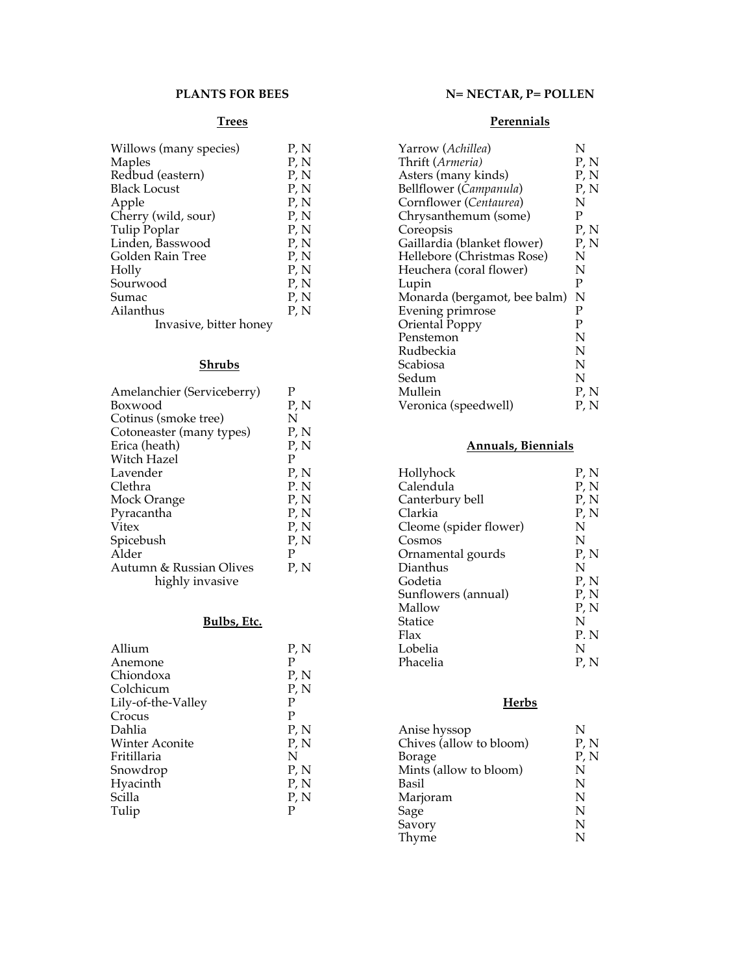#### **PLANTS FOR BEES**

### **Trees**

| Willows (many species) | P, N |
|------------------------|------|
| Maples                 | P, N |
| Redbud (eastern)       | P, N |
| <b>Black Locust</b>    | P, N |
| Apple                  | P, N |
| Cherry (wild, sour)    | P, N |
| Tulip Poplar           | P, N |
| Linden, Basswood       | P, N |
| Golden Rain Tree       | P, N |
| Holly                  | P, N |
| Sourwood               | P, N |
| Sumac                  | P, N |
| Ailanthus              | P, N |
| Invasive, bitter honey |      |

## **Shrubs**

| Amelanchier (Serviceberry)                 | р    |
|--------------------------------------------|------|
| Boxwood                                    | P, N |
| Cotinus (smoke tree)                       | N    |
| Cotoneaster (many types)                   | P, N |
| Erica (heath)                              | P, N |
| Witch Hazel                                | P    |
| Lavender                                   | P, N |
| Clethra                                    | P. N |
| Mock Orange                                | P, N |
| Pyracantha                                 | P, N |
| Vitex                                      | P, N |
| Spicebush                                  | P, N |
| Alder                                      | Р    |
| Autumn & Russian Olives<br>highly invasive | P, N |
|                                            |      |

## **Bulbs, Etc.**

| Allium                | P, N |
|-----------------------|------|
| Anemone               | P    |
| Chiondoxa             | P, N |
| Colchicum             | P, N |
| Lily-of-the-Valley    | P    |
| Crocus                | P    |
| Dahlia                | P, N |
| <b>Winter Aconite</b> | P, N |
| Fritillaria           | N    |
| Snowdrop              | P, N |
| Hyacinth              | P, N |
| Scilla                | P, N |
| Tulip                 | P    |
|                       |      |

# **N= NECTAR, P= POLLEN**

## **Perennials**

| Yarrow (Achillea)            | N    |
|------------------------------|------|
| Thrift (Armeria)             | P, N |
| Asters (many kinds)          | P, N |
| Bellflower (Campanula)       | P, N |
| Cornflower (Centaurea)       | Ν    |
| Chrysanthemum (some)         | P    |
| Coreopsis                    | P, N |
| Gaillardia (blanket flower)  | P, N |
| Hellebore (Christmas Rose)   | N    |
| Heuchera (coral flower)      | N    |
| Lupin                        | P    |
| Monarda (bergamot, bee balm) | N    |
| Evening primrose             | P    |
| Oriental Poppy               | P    |
| Penstemon                    | N    |
| Rudbeckia                    | N    |
| Scabiosa                     | N    |
| Sedum                        | N    |
| Mullein                      | P, N |
| Veronica (speedwell)         | P, N |

## **Annuals, Biennials**

| Hollyhock              | P, N |
|------------------------|------|
| Calendula              | P, N |
| Canterbury bell        | P, N |
| Clarkia                | P, N |
| Cleome (spider flower) | N    |
| Cosmos                 | N    |
| Ornamental gourds      | P, N |
| Dianthus               | N    |
| Godetia                | P, N |
| Sunflowers (annual)    | P, N |
| Mallow                 | P, N |
| Statice                | N    |
| Flax                   | P. N |
| Lobelia                | N    |
| Phacelia               | P, N |
|                        |      |

## **Herbs**

| Anise hyssop            | N    |
|-------------------------|------|
| Chives (allow to bloom) | P, N |
| <b>Borage</b>           | P, N |
| Mints (allow to bloom)  | N    |
| Basil                   | N    |
| Marjoram                | N    |
| Sage                    | N    |
| Savory                  | N    |
| Thyme                   | N    |
|                         |      |